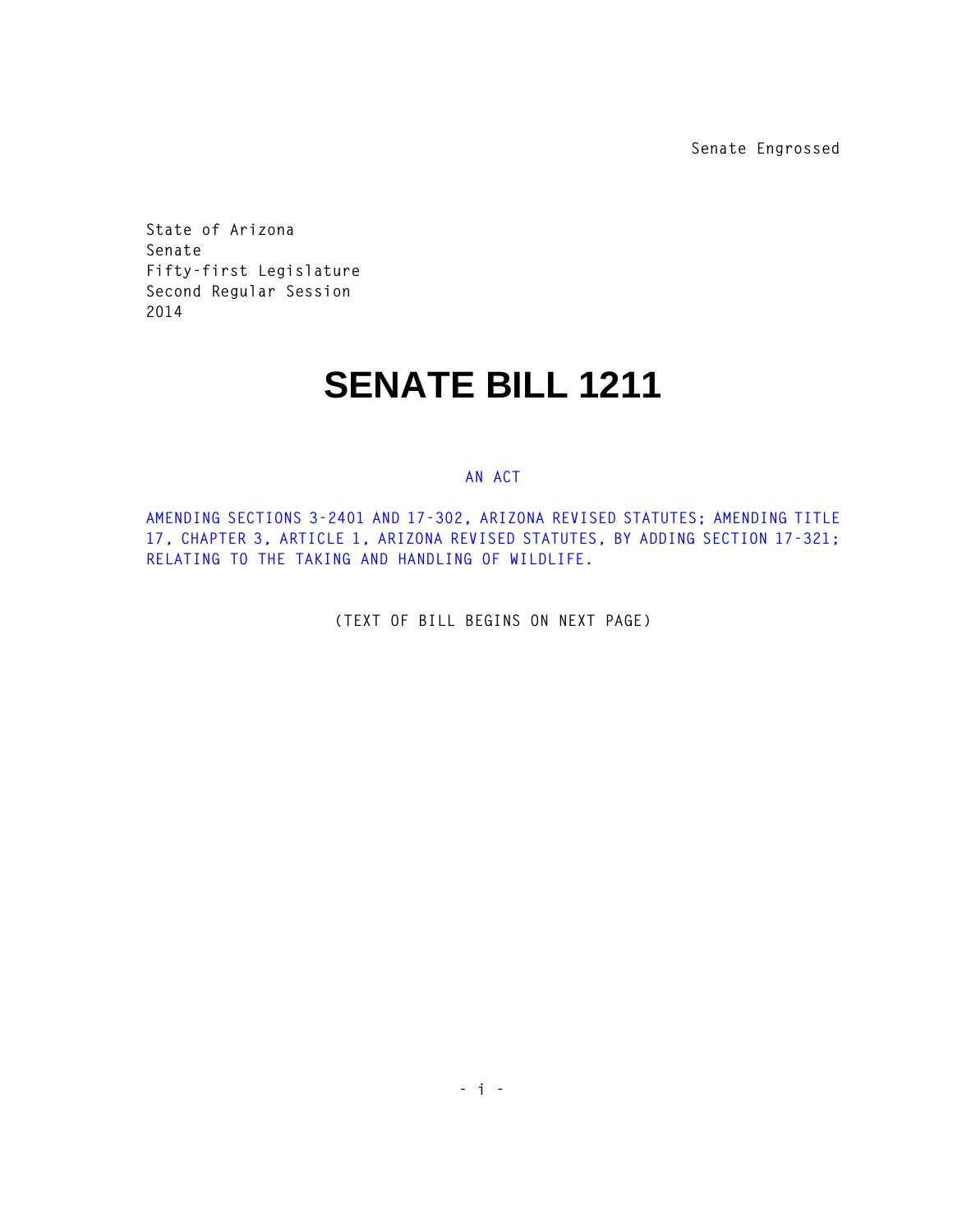**Senate Engrossed**

**State of Arizona Senate Fifty-first Legislature Second Regular Session 2014** 

## **SENATE BILL 1211**

## **AN ACT**

**AMENDING SECTIONS 3-2401 AND 17-302, ARIZONA REVISED STATUTES; AMENDING TITLE 17, CHAPTER 3, ARTICLE 1, ARIZONA REVISED STATUTES, BY ADDING SECTION 17-321; RELATING TO THE TAKING AND HANDLING OF WILDLIFE.** 

**(TEXT OF BILL BEGINS ON NEXT PAGE)**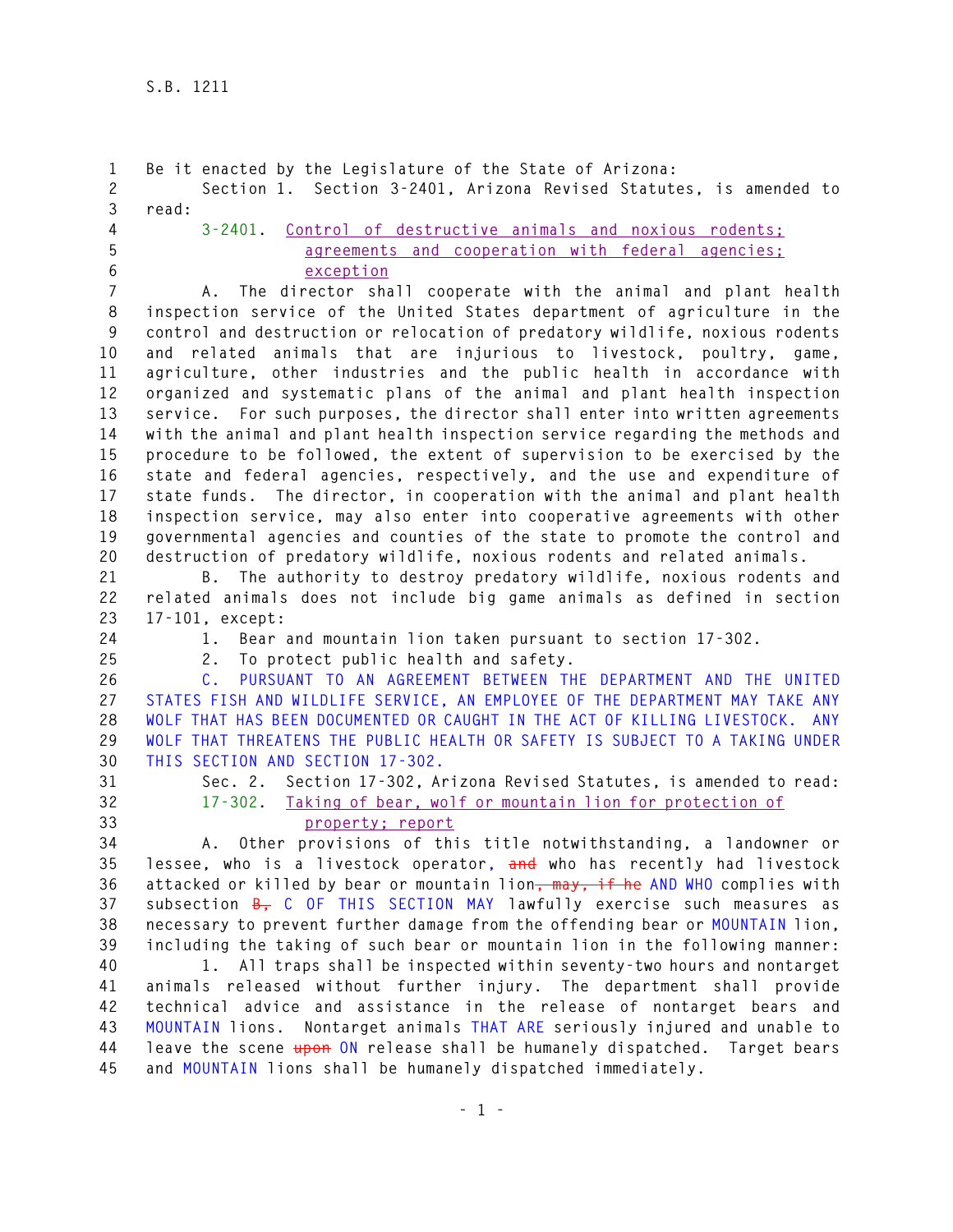**1 Be it enacted by the Legislature of the State of Arizona: 2 Section 1. Section 3-2401, Arizona Revised Statutes, is amended to 3 read: 4 3-2401. Control of destructive animals and noxious rodents; 5 agreements and cooperation with federal agencies; 6 exception 7 A. The director shall cooperate with the animal and plant health 8 inspection service of the United States department of agriculture in the 9 control and destruction or relocation of predatory wildlife, noxious rodents 10 and related animals that are injurious to livestock, poultry, game, 11 agriculture, other industries and the public health in accordance with 12 organized and systematic plans of the animal and plant health inspection 13 service. For such purposes, the director shall enter into written agreements 14 with the animal and plant health inspection service regarding the methods and 15 procedure to be followed, the extent of supervision to be exercised by the 16 state and federal agencies, respectively, and the use and expenditure of 17 state funds. The director, in cooperation with the animal and plant health 18 inspection service, may also enter into cooperative agreements with other 19 governmental agencies and counties of the state to promote the control and 20 destruction of predatory wildlife, noxious rodents and related animals. 21 B. The authority to destroy predatory wildlife, noxious rodents and 22 related animals does not include big game animals as defined in section 23 17-101, except: 24 1. Bear and mountain lion taken pursuant to section 17-302. 25 2. To protect public health and safety. 26 C. PURSUANT TO AN AGREEMENT BETWEEN THE DEPARTMENT AND THE UNITED 27 STATES FISH AND WILDLIFE SERVICE, AN EMPLOYEE OF THE DEPARTMENT MAY TAKE ANY 28 WOLF THAT HAS BEEN DOCUMENTED OR CAUGHT IN THE ACT OF KILLING LIVESTOCK. ANY 29 WOLF THAT THREATENS THE PUBLIC HEALTH OR SAFETY IS SUBJECT TO A TAKING UNDER 30 THIS SECTION AND SECTION 17-302. 31 Sec. 2. Section 17-302, Arizona Revised Statutes, is amended to read: 32 17-302. Taking of bear, wolf or mountain lion for protection of 33 property; report 34 A. Other provisions of this title notwithstanding, a landowner or 35 lessee, who is a livestock operator, and who has recently had livestock 36 attacked or killed by bear or mountain lion, may, if he AND WHO complies with 37 subsection B, C OF THIS SECTION MAY lawfully exercise such measures as 38 necessary to prevent further damage from the offending bear or MOUNTAIN lion, 39 including the taking of such bear or mountain lion in the following manner: 40 1. All traps shall be inspected within seventy-two hours and nontarget 41 animals released without further injury. The department shall provide 42 technical advice and assistance in the release of nontarget bears and 43 MOUNTAIN lions. Nontarget animals THAT ARE seriously injured and unable to 44 leave the scene upon ON release shall be humanely dispatched. Target bears 45 and MOUNTAIN lions shall be humanely dispatched immediately.**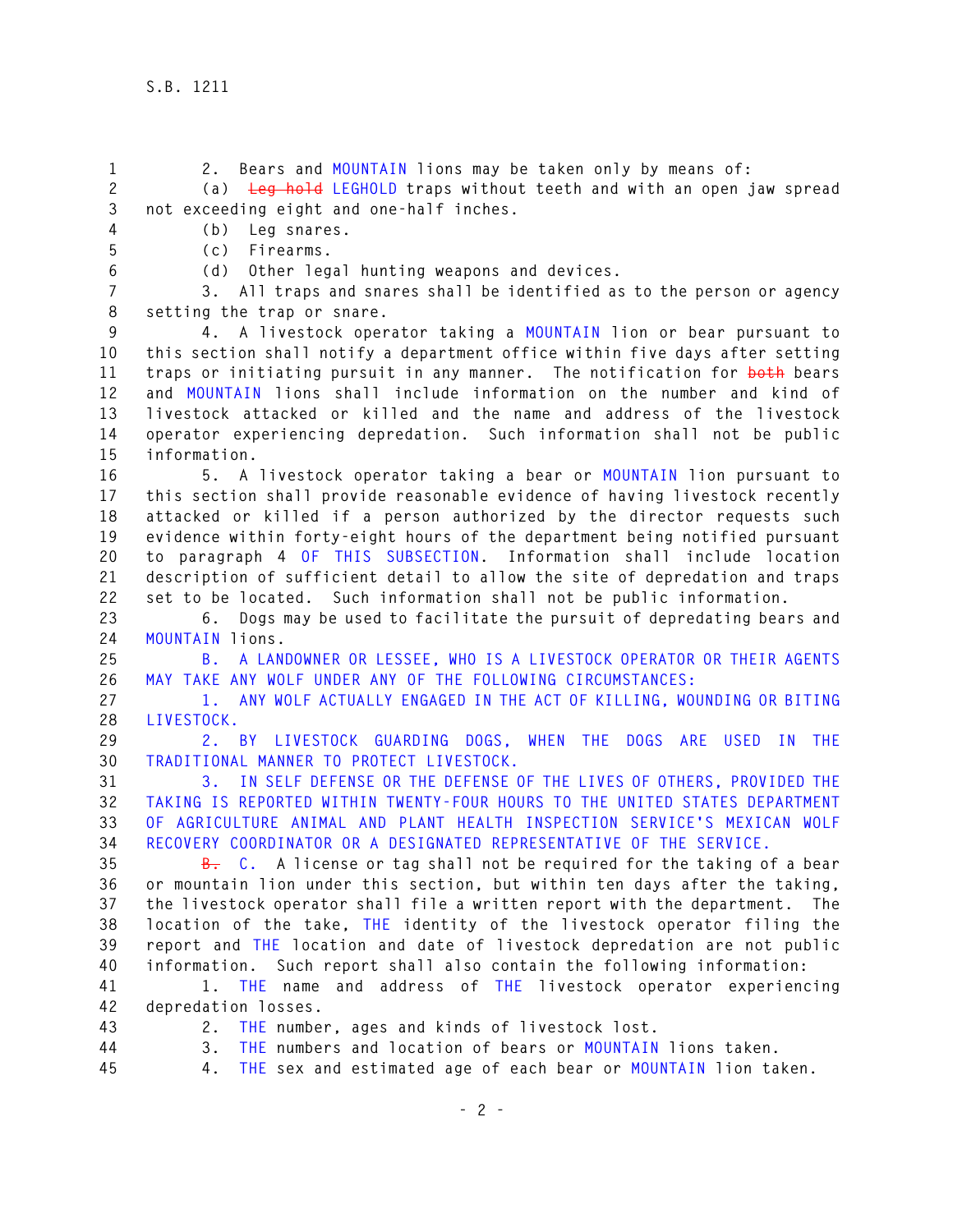**1 2. Bears and MOUNTAIN lions may be taken only by means of: 2 (a) Leg hold LEGHOLD traps without teeth and with an open jaw spread 3 not exceeding eight and one-half inches. 4 (b) Leg snares. 5 (c) Firearms. 6 (d) Other legal hunting weapons and devices. 7 3. All traps and snares shall be identified as to the person or agency 8 setting the trap or snare. 9 4. A livestock operator taking a MOUNTAIN lion or bear pursuant to 10 this section shall notify a department office within five days after setting 11 traps or initiating pursuit in any manner. The notification for both bears 12 and MOUNTAIN lions shall include information on the number and kind of 13 livestock attacked or killed and the name and address of the livestock 14 operator experiencing depredation. Such information shall not be public 15 information. 16 5. A livestock operator taking a bear or MOUNTAIN lion pursuant to 17 this section shall provide reasonable evidence of having livestock recently 18 attacked or killed if a person authorized by the director requests such 19 evidence within forty-eight hours of the department being notified pursuant 20 to paragraph 4 OF THIS SUBSECTION. Information shall include location 21 description of sufficient detail to allow the site of depredation and traps 22 set to be located. Such information shall not be public information. 23 6. Dogs may be used to facilitate the pursuit of depredating bears and 24 MOUNTAIN lions. 25 B. A LANDOWNER OR LESSEE, WHO IS A LIVESTOCK OPERATOR OR THEIR AGENTS 26 MAY TAKE ANY WOLF UNDER ANY OF THE FOLLOWING CIRCUMSTANCES: 27 1. ANY WOLF ACTUALLY ENGAGED IN THE ACT OF KILLING, WOUNDING OR BITING 28 LIVESTOCK. 29 2. BY LIVESTOCK GUARDING DOGS, WHEN THE DOGS ARE USED IN THE 30 TRADITIONAL MANNER TO PROTECT LIVESTOCK. 31 3. IN SELF DEFENSE OR THE DEFENSE OF THE LIVES OF OTHERS, PROVIDED THE 32 TAKING IS REPORTED WITHIN TWENTY-FOUR HOURS TO THE UNITED STATES DEPARTMENT 33 OF AGRICULTURE ANIMAL AND PLANT HEALTH INSPECTION SERVICE'S MEXICAN WOLF 34 RECOVERY COORDINATOR OR A DESIGNATED REPRESENTATIVE OF THE SERVICE. 35 B. C. A license or tag shall not be required for the taking of a bear 36 or mountain lion under this section, but within ten days after the taking, 37 the livestock operator shall file a written report with the department. The 38 location of the take, THE identity of the livestock operator filing the 39 report and THE location and date of livestock depredation are not public 40 information. Such report shall also contain the following information: 41 1. THE name and address of THE livestock operator experiencing 42 depredation losses. 43 2. THE number, ages and kinds of livestock lost. 44 3. THE numbers and location of bears or MOUNTAIN lions taken. 45 4. THE sex and estimated age of each bear or MOUNTAIN lion taken.**